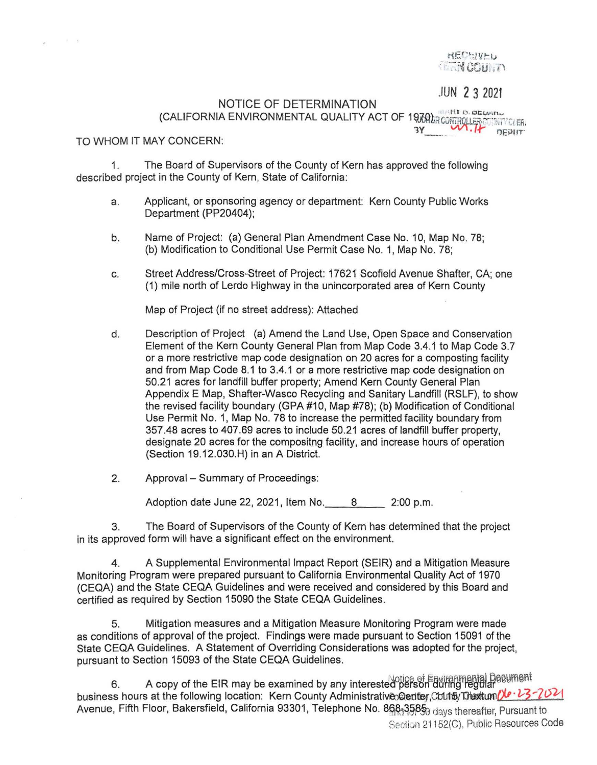**HECHIVEL TERRICOURTY** 

JUN 2 3 2021

NOTICE OF DETERMINATION (CALIFORNIA ENVIRONMENTAL QUALITY ACT OF 19000 and provident COALITY **(CALIFORNIA)** 

TO WHOM IT MAY CONCERN:

 $k = k$ 

1. The Board of Supervisors of the County of Kern has approved the following described project in the County of Kern, State of California:

- a. Applicant, or sponsoring agency or department: Kern County Public Works Department (PP20404);
- b. Name of Project: (a) General Plan Amendment Case No. 10, Map No. 78; (b) Modification to Conditional Use Permit Case No. 1, Map No. 78;
- c. Street Address/Cross-Street of Project: 17621 Scofield Avenue Shafter, CA; one (1) mile north of Lerdo Highway in the unincorporated area of Kern County

Map of Project (if no street address): Attached

- d. Description of Project (a) Amend the Land Use, Open Space and Conservation Element of the Kern County General Plan from Map Code 3.4.1 to Map Code 3.7 or a more restrictive map code designation on 20 acres for a composting facility and from Map Code 8.1 to 3.4.1 or a more restrictive map code designation on 50.21 acres for landfill buffer property; Amend Kern County General Plan Appendix E Map, Shafter-Wasco Recycling and Sanitary Landfill (RSLF), to show the revised facility boundary (GPA #10, Map #78); (b) Modification of Conditional Use Permit No. 1, Map No. 78 to increase the permitted facility boundary from 357.48 acres to 407.69 acres to include 50.21 acres of landfill buffer property, designate 20 acres for the compositng facility, and increase hours of operation (Section 19.12.030.H) in an A District.
- 2. Approval Summary of Proceedings:

Adoption date June 22, 2021, Item No. 8 \_\_ 2:00 p.m.

3. The Board of Supervisors of the County of Kern has determined that the project in its approved form will have a significant effect on the environment.

4. A Supplemental Environmental Impact Report (SEIR) and a Mitigation Measure Monitoring Program were prepared pursuant to California Environmental Quality Act of 1970 (CEQA) and the State CEQA Guidelines and were received and considered by this Board and certified as required by Section 15090 the State CEQA Guidelines.

5. Mitigation measures and a Mitigation Measure Monitoring Program were made as conditions of approval of the project. Findings were made pursuant to Section 15091 of the State CEQA Guidelines. A Statement of Overriding Considerations was adopted for the project, pursuant to Section 15093 of the State CEQA Guidelines.

6. A copy of the EIR may be examined by any interested person during regular business hours at the following location: Kern County Administrative>@enter.Cout5/Thextum/1 - 23-2021 Avenue, Fifth Floor, Bakersfield, California 93301, Telephone No. 868-3585<sub>0</sub> days thereafter, Pursuant to Section 21152(C), Public Resources Code